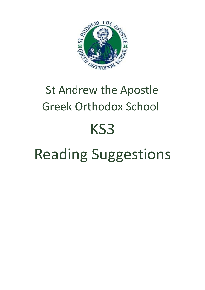

## St Andrew the Apostle Greek Orthodox School KS3 Reading Suggestions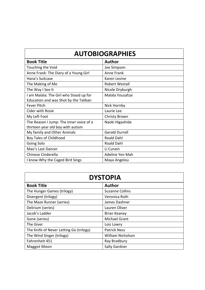| <b>Book Title</b>                       | <b>Author</b>         |
|-----------------------------------------|-----------------------|
| Touching the Void                       | Joe Simpson           |
| Anne Frank: The Diary of a Young Girl   | Anne Frank            |
| Hana's Suitcase                         | Karen Levine          |
| The Making of Me                        | <b>Robert Westall</b> |
| The Way I See It                        | Nicole Dryburgh       |
| I am Malala: The Girl who Stood up for  | Malala Yousafzai      |
| Education and was Shot by the Taliban   |                       |
| <b>Fever Pitch</b>                      | Nick Hornby           |
| <b>Cider with Rosie</b>                 | Laurie Lee            |
| My Left Foot                            | Christy Brown         |
| The Reason I Jump: The inner voice of a | Naoki Higashida       |
| thirteen year old boy with autism       |                       |
| My family and Other Animals             | <b>Gerald Durrell</b> |
| Boy Tales of Childhood                  | Roald Dahl            |
| Going Solo                              | Roald Dahl            |
| Mao's Last Dancer                       | Li Cunxin             |
| Chinese Cinderella                      | Adeline Yen Mah       |
| I know Why the Caged Bird Sings         | Maya Angelou          |

| <b>DYSTOPIA</b>                         |                          |
|-----------------------------------------|--------------------------|
| <b>Book Title</b>                       | <b>Author</b>            |
| The Hunger Games (trilogy)              | <b>Suzanne Collins</b>   |
| Divergent (trilogy)                     | Veronica Roth            |
| The Maze Runner (series)                | James Dashner            |
| Delirium (series)                       | Lauren Oliver            |
| Jacob's Ladder                          | <b>Brian Keaney</b>      |
| Gone (series)                           | <b>Michael Grant</b>     |
| The Giver                               | Lois Lowry               |
| The Knife of Never Letting Go (trilogy) | <b>Patrick Ness</b>      |
| The Wind Singer (trilogy)               | <b>William Nicholson</b> |
| Fahrenheit 451                          | Ray Bradbury             |
| <b>Maggot Moon</b>                      | Sally Gardner            |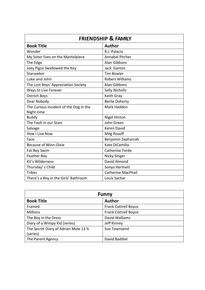| <b>FRIENDSHIP &amp; FAMILY</b>         |                           |
|----------------------------------------|---------------------------|
| <b>Book Title</b>                      | <b>Author</b>             |
| Wonder                                 | R.J. Palacio              |
| My Sister lives on the Mantelpiece     | <b>Annabel Pitcher</b>    |
| The Edge                               | Alan Gibbons              |
| Joey Pigza Swallowed the Key           | Jack Gantos               |
| Starseeker                             | <b>Tim Bowler</b>         |
| Luke and John                          | <b>Robert Williams</b>    |
| The Lost Boys' Appreciation Society    | <b>Alan Gibbons</b>       |
| Ways to Live Forever                   | <b>Sally Nicholls</b>     |
| <b>Ostrich Boys</b>                    | Keith Gray                |
| Dear Nobody                            | <b>Berlie Doherty</b>     |
| The Curious Incident of the Dog in the | Mark Haddon               |
| Night-time                             |                           |
| <b>Buddy</b>                           | <b>Nigel Hinton</b>       |
| The Fault in our Stars                 | John Green                |
| Salvage                                | <b>Keren David</b>        |
| <b>How I Live Now</b>                  | Meg Rosoff                |
| Face                                   | Benjamin Zephaniah        |
| <b>Because of Winn-Dixie</b>           | Kate DiCamillo            |
| Fat Boy Swim                           | Catherine Forde           |
| Feather Boy                            | Nicky Singer              |
| Kit's Wilderness                       | David Almond              |
| Thursday's Child                       | Sonya Hartnett            |
| <b>Tribes</b>                          | <b>Catherine MacPhail</b> |
| There's a Boy in the Girls' Bathroom   | Louis Sachar              |

| <b>Funny</b>                         |                             |
|--------------------------------------|-----------------------------|
| <b>Book Title</b>                    | <b>Author</b>               |
| Framed                               | <b>Frank Cottrell Boyce</b> |
| <b>Millions</b>                      | <b>Frank Cottrell Boyce</b> |
| The Boy in the Dress                 | David Walliams              |
| Diary of a Wimpy Kid (series)        | Jeff Kinney                 |
| The Secret Diary of Adrian Mole 13 % | Sue Townsend                |
| (series)                             |                             |
| The Parent Agency                    | David Baddiel               |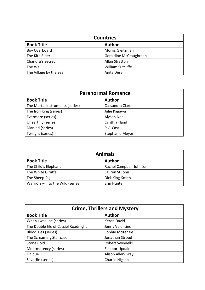| <b>Countries</b>       |                        |
|------------------------|------------------------|
| <b>Book Title</b>      | <b>Author</b>          |
| Boy Overboard          | Morris Gleitzman       |
| The Kite Rider         | Geraldine McCraughrean |
| Chandra's Secret       | <b>Allan Stratton</b>  |
| The Wall               | William Sutcliffe      |
| The Village by the Sea | Anita Desai            |

| <b>Paranormal Romance</b>       |                 |
|---------------------------------|-----------------|
| <b>Book Title</b>               | <b>Author</b>   |
| The Mortal Instruments (series) | Cassandra Clare |
| The Iron King (series)          | Julie Kagawa    |
| Evermore (series)               | Alyson Noel     |
| Unearthly (series)              | Cynthia Hand    |
| Marked (series)                 | P.C. Cast       |
| Twilight (series)               | Stephanie Meyer |

| <b>Animals</b>                    |                         |
|-----------------------------------|-------------------------|
| <b>Book Title</b>                 | <b>Author</b>           |
| The Child's Elephant              | Rachel Campbell-Johnson |
| The White Giraffe                 | Lauren St John          |
| The Sheep-Pig                     | Dick King-Smith         |
| Warriors - Into the Wild (series) | Erin Hunter             |

| <b>Crime, Thrillers and Mystery</b>  |                         |
|--------------------------------------|-------------------------|
| <b>Book Title</b>                    | <b>Author</b>           |
| When I was Joe (series)              | Keren David             |
| The Double life of Cassiel Roadnight | Jenny Valentine         |
| <b>Blood Ties (series)</b>           | Sophie McKenzie         |
| The Screaming Staircase              | Jonathan Stroud         |
| <b>Stone Cold</b>                    | <b>Robert Swindells</b> |
| Montmorency (series)                 | Eleanor Updale          |
| Unique                               | Alison Allen-Gray       |
| Silverfin (series)                   | Charlie Higson          |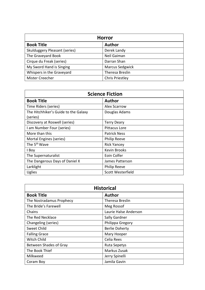| <b>Horror</b>                 |                        |
|-------------------------------|------------------------|
| <b>Book Title</b>             | <b>Author</b>          |
| Skulduggery Pleasant (series) | Derek Landy            |
| The Graveyard Book            | Neil Gaiman            |
| Cirque du Freak (series)      | Darran Shan            |
| My Sword Hand is Singing      | Marcus Sedgwick        |
| Whispers in the Graveyard     | Theresa Breslin        |
| Mister Creecher               | <b>Chris Priestley</b> |

| <b>Science Fiction</b>               |                      |
|--------------------------------------|----------------------|
| <b>Book Title</b>                    | <b>Author</b>        |
| Time Riders (series)                 | <b>Alex Scarrow</b>  |
| The Hitchhiker's Guide to the Galaxy | Douglas Adams        |
| (series)                             |                      |
| Discovery at Roswell (series)        | <b>Terry Deary</b>   |
| I am Number Four (series)            | <b>Pittacus Lore</b> |
| More than this                       | <b>Patrick Ness</b>  |
| Mortal Engines (series)              | <b>Philip Reeve</b>  |
| The 5 <sup>th</sup> Wave             | <b>Rick Yancey</b>   |
| I Boy                                | Kevin Brooks         |
| The Supernaturalist                  | Eoin Colfer          |
| The Dangerous Days of Daniel X       | James Patterson      |
| Larklight                            | <b>Philip Reeve</b>  |
| Uglies                               | Scott Westerfield    |

| <b>Historical</b>        |                       |
|--------------------------|-----------------------|
| <b>Book Title</b>        | <b>Author</b>         |
| The Nostradamus Prophecy | Theresa Breslin       |
| The Bride's Farewell     | Meg Rossof            |
| Chains                   | Laurie Halse Anderson |
| The Red Necklace         | Sally Gardner         |
| Changeling (series)      | Philippa Gregory      |
| Sweet Child              | <b>Berlie Doherty</b> |
| <b>Falling Grace</b>     | Mary Hooper           |
| <b>Witch Child</b>       | Celia Rees            |
| Between Shades of Gray   | <b>Ruta Sepetys</b>   |
| The Book Thief           | Markus Zusak          |
| Milkweed                 | Jerry Spinelli        |
| Coram Boy                | Jamila Gavin          |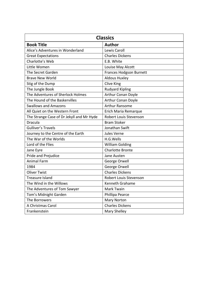| <b>Classics</b>                           |                                |  |
|-------------------------------------------|--------------------------------|--|
| <b>Book Title</b>                         | <b>Author</b>                  |  |
| Alice's Adventures in Wonderland          | Lewis Caroll                   |  |
| <b>Great Expectations</b>                 | <b>Charles Dickens</b>         |  |
| Charlotte's Web                           | E.B. White                     |  |
| Little Women                              | Louise May Alcott              |  |
| The Secret Garden                         | <b>Frances Hodgson Burnett</b> |  |
| <b>Brave New World</b>                    | <b>Aldous Huxley</b>           |  |
| Stig of the Dump                          | <b>Clive King</b>              |  |
| The Jungle Book                           | <b>Rudyard Kipling</b>         |  |
| The Adventures of Sherlock Holmes         | Arthur Conan Doyle             |  |
| The Hound of the Baskervilles             | Arthur Conan Doyle             |  |
| <b>Swallows and Amazons</b>               | Arthur Ransome                 |  |
| All Quiet on the Western Front            | Erich Maria Remarque           |  |
| The Strange Case of Dr Jekyll and Mr Hyde | Robert Louis Stevenson         |  |
| <b>Dracula</b>                            | <b>Bram Stoker</b>             |  |
| <b>Gulliver's Travels</b>                 | Jonathan Swift                 |  |
| Journey to the Centre of the Earth        | Jules Verne                    |  |
| The War of the Worlds                     | H.G.Wells                      |  |
| Lord of the Flies                         | <b>William Golding</b>         |  |
| Jane Eyre                                 | <b>Charlotte Bronte</b>        |  |
| Pride and Prejudice                       | Jane Austen                    |  |
| <b>Animal Farm</b>                        | George Orwell                  |  |
| 1984                                      | George Orwell                  |  |
| <b>Oliver Twist</b>                       | <b>Charles Dickens</b>         |  |
| <b>Treasure Island</b>                    | Robert Louis Stevenson         |  |
| The Wind in the Willows                   | Kenneth Grahame                |  |
| The Adventures of Tom Sawyer              | Mark Twain                     |  |
| Tom's Midnight Garden                     | Phillipa Pearce                |  |
| The Borrowers                             | <b>Mary Norton</b>             |  |
| A Christmas Carol                         | <b>Charles Dickens</b>         |  |
| Frankenstein                              | <b>Mary Shelley</b>            |  |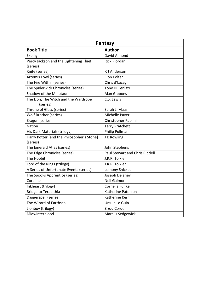| Fantasy                                                |                                       |  |
|--------------------------------------------------------|---------------------------------------|--|
| <b>Book Title</b>                                      | <b>Author</b>                         |  |
| <b>Skellig</b>                                         | David Almond                          |  |
| Percy Jackson and the Lightening Thief<br>(series)     | <b>Rick Riordan</b>                   |  |
| Knife (series)                                         | R J Anderson                          |  |
| Artemis Fowl (series)                                  | Eion Colfer                           |  |
| The Fire Within (series)                               | Chris d'Lacey                         |  |
| The Spiderwick Chronicles (series)                     | Tony Di Terlizzi                      |  |
| Shadow of the Minotaur                                 | <b>Alan Gibbons</b>                   |  |
| The Lion, The Witch and the Wardrobe<br>(series)       | C.S. Lewis                            |  |
| Throne of Glass (series)                               | Sarah J. Maas                         |  |
| Wolf Brother (series)                                  | Michelle Paver                        |  |
| Eragon (series)                                        | Christopher Paolini                   |  |
| <b>Nation</b>                                          | <b>Terry Pratchett</b>                |  |
| His Dark Materials (trilogy)                           | Philip Pullman                        |  |
| Harry Potter [and the Philosopher's Stone]<br>(series) | J K Rowling                           |  |
| The Emerald Atlas (series)                             | John Stephens                         |  |
| The Edge Chronicles (series)                           | <b>Paul Stewart and Chris Riddell</b> |  |
| The Hobbit                                             | J.R.R. Tolkien                        |  |
| Lord of the Rings (trilogy)                            | J.R.R. Tolkien                        |  |
| A Series of Unfortunate Events (series)                | Lemony Snicket                        |  |
| The Spooks Apprentice (series)                         | Joseph Delaney                        |  |
| Coraline                                               | <b>Neil Gaimon</b>                    |  |
| Inkheart (trilogy)                                     | Cornelia Funke                        |  |
| <b>Bridge to Terabithia</b>                            | Katherine Paterson                    |  |
| Daggerspell (series)                                   | Katherine Kerr                        |  |
| The Wizard of Earthsea                                 | Ursula Le Guin                        |  |
| Lionboy (trilogy)                                      | Zizou Corder                          |  |
| Midwinterblood                                         | Marcus Sedgewick                      |  |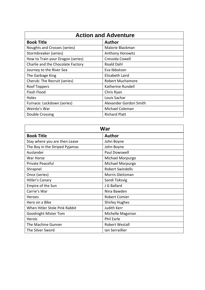| <b>Action and Adventure</b>       |                         |  |
|-----------------------------------|-------------------------|--|
| <b>Book Title</b>                 | <b>Author</b>           |  |
| Noughts and Crosses (series)      | Malorie Blackman        |  |
| Stormbreaker (series)             | <b>Anthony Horowitz</b> |  |
| How to Train your Dragon (series) | Cressida Cowell         |  |
| Charlie and the Chocolate Factory | Roald Dahl              |  |
| Journey to the River Sea          | Eva Ibbotson            |  |
| The Garbage King                  | Elizabeth Laird         |  |
| Cherub: The Recruit (series)      | <b>Robert Muchamore</b> |  |
| <b>Roof Toppers</b>               | Katherine Rundell       |  |
| Flash Flood                       | Chris Ryan              |  |
| <b>Holes</b>                      | Louis Sachar            |  |
| Furnace: Lockdown (series)        | Alexander Gordon Smith  |  |
| Weirdo's War                      | Michael Coleman         |  |
| Double Crossing                   | <b>Richard Platt</b>    |  |

| <b>War</b>                     |                         |  |
|--------------------------------|-------------------------|--|
| <b>Book Title</b>              | <b>Author</b>           |  |
| Stay where you are then Leave  | John Boyne              |  |
| The Boy in the Striped Pyjamas | John Boyne              |  |
| Auslander                      | Paul Dowswell           |  |
| War Horse                      | Michael Morpurgo        |  |
| Private Peaceful               | Michael Morpurgo        |  |
| Shrapnel                       | <b>Robert Swindells</b> |  |
| Once (series)                  | Morris Gleitzman        |  |
| Hitler's Canary                | Sandi Toksvig           |  |
| Empire of the Sun              | J G Ballard             |  |
| Carrie's War                   | Nina Bawden             |  |
| Heroes                         | <b>Robert Comier</b>    |  |
| Hero on a Bike                 | <b>Shirley Hughes</b>   |  |
| When Hitler Stole Pink Rabbit  | Judith Kerr             |  |
| <b>Goodnight Mister Tom</b>    | Michelle Magorian       |  |
| Heroic                         | <b>Phil Earle</b>       |  |
| The Machine Gunner             | <b>Robert Westall</b>   |  |
| The Silver Sword               | Ian Serraillier         |  |